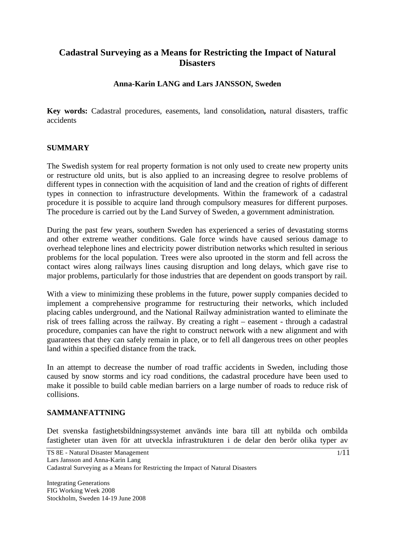# **Cadastral Surveying as a Means for Restricting the Impact of Natural Disasters**

# **Anna-Karin LANG and Lars JANSSON, Sweden**

**Key words:** Cadastral procedures, easements, land consolidation**,** natural disasters, traffic accidents

# **SUMMARY**

The Swedish system for real property formation is not only used to create new property units or restructure old units, but is also applied to an increasing degree to resolve problems of different types in connection with the acquisition of land and the creation of rights of different types in connection to infrastructure developments. Within the framework of a cadastral procedure it is possible to acquire land through compulsory measures for different purposes. The procedure is carried out by the Land Survey of Sweden, a government administration.

During the past few years, southern Sweden has experienced a series of devastating storms and other extreme weather conditions. Gale force winds have caused serious damage to overhead telephone lines and electricity power distribution networks which resulted in serious problems for the local population. Trees were also uprooted in the storm and fell across the contact wires along railways lines causing disruption and long delays, which gave rise to major problems, particularly for those industries that are dependent on goods transport by rail.

With a view to minimizing these problems in the future, power supply companies decided to implement a comprehensive programme for restructuring their networks, which included placing cables underground, and the National Railway administration wanted to eliminate the risk of trees falling across the railway. By creating a right – easement - through a cadastral procedure, companies can have the right to construct network with a new alignment and with guarantees that they can safely remain in place, or to fell all dangerous trees on other peoples land within a specified distance from the track.

In an attempt to decrease the number of road traffic accidents in Sweden, including those caused by snow storms and icy road conditions, the cadastral procedure have been used to make it possible to build cable median barriers on a large number of roads to reduce risk of collisions.

# **SAMMANFATTNING**

Det svenska fastighetsbildningssystemet används inte bara till att nybilda och ombilda fastigheter utan även för att utveckla infrastrukturen i de delar den berör olika typer av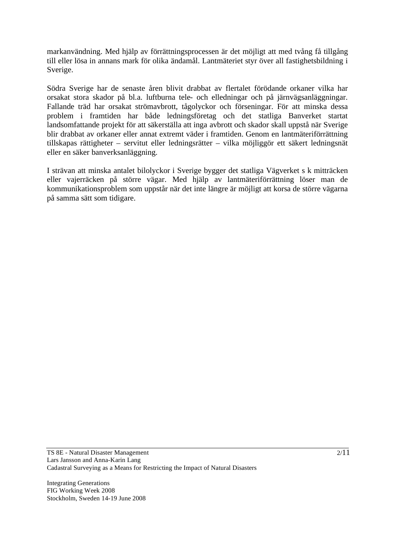markanvändning. Med hjälp av förrättningsprocessen är det möjligt att med tvång få tillgång till eller lösa in annans mark för olika ändamål. Lantmäteriet styr över all fastighetsbildning i Sverige.

Södra Sverige har de senaste åren blivit drabbat av flertalet förödande orkaner vilka har orsakat stora skador på bl.a. luftburna tele- och elledningar och på järnvägsanläggningar. Fallande träd har orsakat strömavbrott, tågolyckor och förseningar. För att minska dessa problem i framtiden har både ledningsföretag och det statliga Banverket startat landsomfattande projekt för att säkerställa att inga avbrott och skador skall uppstå när Sverige blir drabbat av orkaner eller annat extremt väder i framtiden. Genom en lantmäteriförrättning tillskapas rättigheter – servitut eller ledningsrätter – vilka möjliggör ett säkert ledningsnät eller en säker banverksanläggning.

I strävan att minska antalet bilolyckor i Sverige bygger det statliga Vägverket s k mitträcken eller vajerräcken på större vägar. Med hjälp av lantmäteriförrättning löser man de kommunikationsproblem som uppstår när det inte längre är möjligt att korsa de större vägarna på samma sätt som tidigare.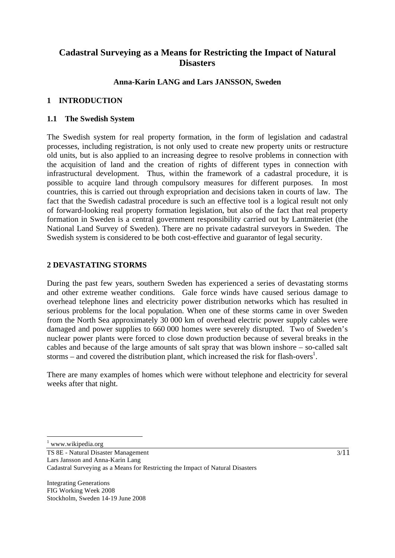# **Cadastral Surveying as a Means for Restricting the Impact of Natural Disasters**

## **Anna-Karin LANG and Lars JANSSON, Sweden**

## **1 INTRODUCTION**

#### **1.1 The Swedish System**

The Swedish system for real property formation, in the form of legislation and cadastral processes, including registration, is not only used to create new property units or restructure old units, but is also applied to an increasing degree to resolve problems in connection with the acquisition of land and the creation of rights of different types in connection with infrastructural development. Thus, within the framework of a cadastral procedure, it is possible to acquire land through compulsory measures for different purposes. In most countries, this is carried out through expropriation and decisions taken in courts of law. The fact that the Swedish cadastral procedure is such an effective tool is a logical result not only of forward-looking real property formation legislation, but also of the fact that real property formation in Sweden is a central government responsibility carried out by Lantmäteriet (the National Land Survey of Sweden). There are no private cadastral surveyors in Sweden. The Swedish system is considered to be both cost-effective and guarantor of legal security.

#### **2 DEVASTATING STORMS**

During the past few years, southern Sweden has experienced a series of devastating storms and other extreme weather conditions. Gale force winds have caused serious damage to overhead telephone lines and electricity power distribution networks which has resulted in serious problems for the local population. When one of these storms came in over Sweden from the North Sea approximately 30 000 km of overhead electric power supply cables were damaged and power supplies to 660 000 homes were severely disrupted. Two of Sweden's nuclear power plants were forced to close down production because of several breaks in the cables and because of the large amounts of salt spray that was blown inshore – so-called salt storms – and covered the distribution plant, which increased the risk for flash-overs<sup>1</sup>.

There are many examples of homes which were without telephone and electricity for several weeks after that night.

1 www.wikipedia.org

 $\overline{a}$ 

TS 8E - Natural Disaster Management Lars Jansson and Anna-Karin Lang Cadastral Surveying as a Means for Restricting the Impact of Natural Disasters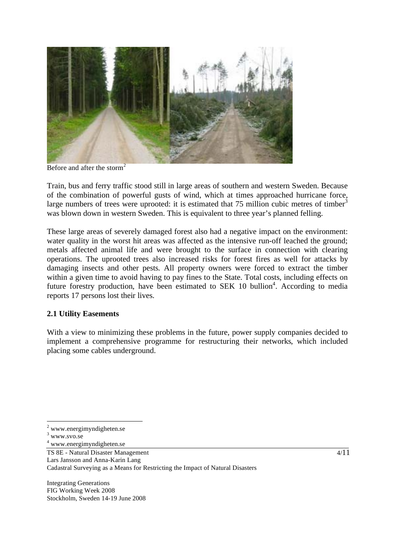

Before and after the storm<sup>2</sup>

Train, bus and ferry traffic stood still in large areas of southern and western Sweden. Because of the combination of powerful gusts of wind, which at times approached hurricane force, large numbers of trees were uprooted: it is estimated that  $75$  million cubic metres of timber<sup>3</sup> was blown down in western Sweden. This is equivalent to three year's planned felling.

These large areas of severely damaged forest also had a negative impact on the environment: water quality in the worst hit areas was affected as the intensive run-off leached the ground; metals affected animal life and were brought to the surface in connection with clearing operations. The uprooted trees also increased risks for forest fires as well for attacks by damaging insects and other pests. All property owners were forced to extract the timber within a given time to avoid having to pay fines to the State. Total costs, including effects on future forestry production, have been estimated to SEK 10 bullion<sup>4</sup>. According to media reports 17 persons lost their lives.

# **2.1 Utility Easements**

With a view to minimizing these problems in the future, power supply companies decided to implement a comprehensive programme for restructuring their networks, which included placing some cables underground.

 $\overline{a}$ 

TS 8E - Natural Disaster Management Lars Jansson and Anna-Karin Lang Cadastral Surveying as a Means for Restricting the Impact of Natural Disasters

<sup>&</sup>lt;sup>2</sup> www.energimyndigheten.se

<sup>3</sup> www.svo.se

<sup>4</sup> www.energimyndigheten.se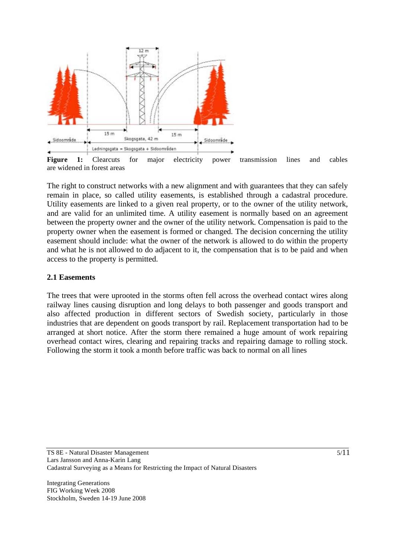

are widened in forest areas

The right to construct networks with a new alignment and with guarantees that they can safely remain in place, so called utility easements, is established through a cadastral procedure. Utility easements are linked to a given real property, or to the owner of the utility network, and are valid for an unlimited time. A utility easement is normally based on an agreement between the property owner and the owner of the utility network. Compensation is paid to the property owner when the easement is formed or changed. The decision concerning the utility easement should include: what the owner of the network is allowed to do within the property and what he is not allowed to do adjacent to it, the compensation that is to be paid and when access to the property is permitted.

#### **2.1 Easements**

The trees that were uprooted in the storms often fell across the overhead contact wires along railway lines causing disruption and long delays to both passenger and goods transport and also affected production in different sectors of Swedish society, particularly in those industries that are dependent on goods transport by rail. Replacement transportation had to be arranged at short notice. After the storm there remained a huge amount of work repairing overhead contact wires, clearing and repairing tracks and repairing damage to rolling stock. Following the storm it took a month before traffic was back to normal on all lines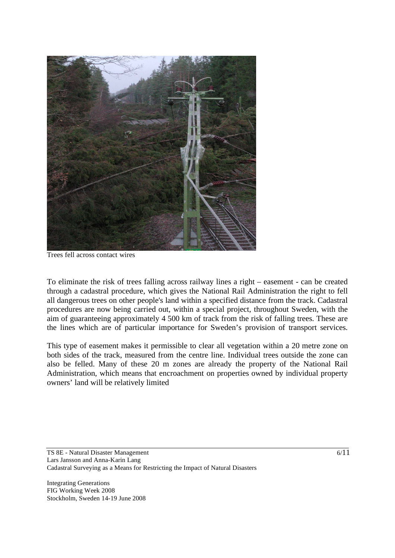

Trees fell across contact wires

To eliminate the risk of trees falling across railway lines a right – easement - can be created through a cadastral procedure, which gives the National Rail Administration the right to fell all dangerous trees on other people's land within a specified distance from the track. Cadastral procedures are now being carried out, within a special project, throughout Sweden, with the aim of guaranteeing approximately 4 500 km of track from the risk of falling trees. These are the lines which are of particular importance for Sweden's provision of transport services.

This type of easement makes it permissible to clear all vegetation within a 20 metre zone on both sides of the track, measured from the centre line. Individual trees outside the zone can also be felled. Many of these 20 m zones are already the property of the National Rail Administration, which means that encroachment on properties owned by individual property owners' land will be relatively limited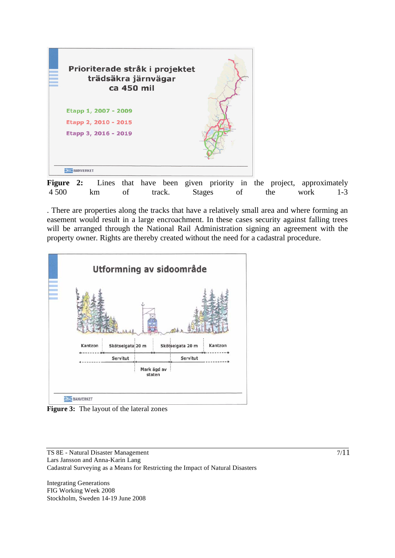

Figure 2: Lines that have been given priority in the project, approximately 4 500 km of track. Stages of the work 1-3

. There are properties along the tracks that have a relatively small area and where forming an easement would result in a large encroachment. In these cases security against falling trees will be arranged through the National Rail Administration signing an agreement with the property owner. Rights are thereby created without the need for a cadastral procedure.



**Figure 3:** The layout of the lateral zones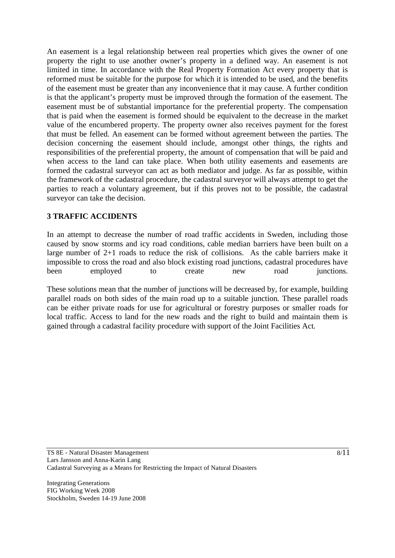An easement is a legal relationship between real properties which gives the owner of one property the right to use another owner's property in a defined way. An easement is not limited in time. In accordance with the Real Property Formation Act every property that is reformed must be suitable for the purpose for which it is intended to be used, and the benefits of the easement must be greater than any inconvenience that it may cause. A further condition is that the applicant's property must be improved through the formation of the easement. The easement must be of substantial importance for the preferential property. The compensation that is paid when the easement is formed should be equivalent to the decrease in the market value of the encumbered property. The property owner also receives payment for the forest that must be felled. An easement can be formed without agreement between the parties. The decision concerning the easement should include, amongst other things, the rights and responsibilities of the preferential property, the amount of compensation that will be paid and when access to the land can take place. When both utility easements and easements are formed the cadastral surveyor can act as both mediator and judge. As far as possible, within the framework of the cadastral procedure, the cadastral surveyor will always attempt to get the parties to reach a voluntary agreement, but if this proves not to be possible, the cadastral surveyor can take the decision.

# **3 TRAFFIC ACCIDENTS**

In an attempt to decrease the number of road traffic accidents in Sweden, including those caused by snow storms and icy road conditions, cable median barriers have been built on a large number of 2+1 roads to reduce the risk of collisions. As the cable barriers make it impossible to cross the road and also block existing road junctions, cadastral procedures have been employed to create new road junctions.

These solutions mean that the number of junctions will be decreased by, for example, building parallel roads on both sides of the main road up to a suitable junction. These parallel roads can be either private roads for use for agricultural or forestry purposes or smaller roads for local traffic. Access to land for the new roads and the right to build and maintain them is gained through a cadastral facility procedure with support of the Joint Facilities Act.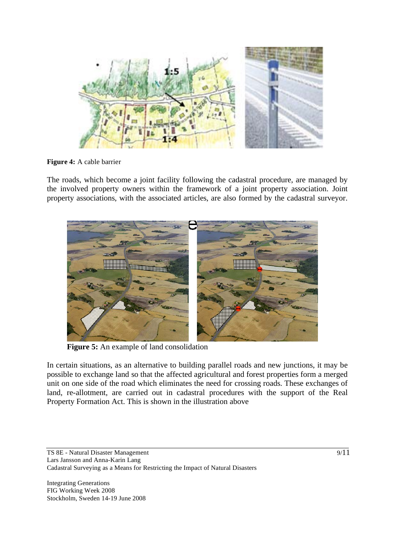

**Figure 4:** A cable barrier

The roads, which become a joint facility following the cadastral procedure, are managed by the involved property owners within the framework of a joint property association. Joint property associations, with the associated articles, are also formed by the cadastral surveyor.



**Figure 5:** An example of land consolidation

In certain situations, as an alternative to building parallel roads and new junctions, it may be possible to exchange land so that the affected agricultural and forest properties form a merged unit on one side of the road which eliminates the need for crossing roads. These exchanges of land, re-allotment, are carried out in cadastral procedures with the support of the Real Property Formation Act. This is shown in the illustration above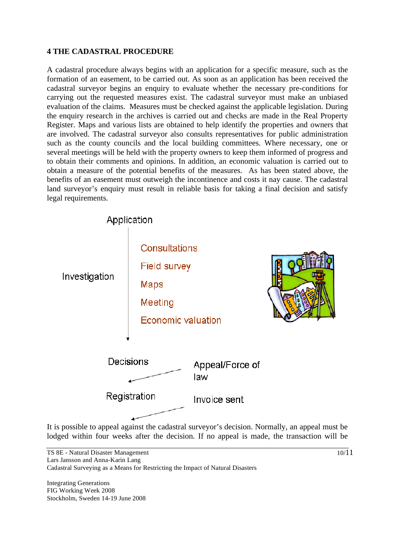## **4 THE CADASTRAL PROCEDURE**

A cadastral procedure always begins with an application for a specific measure, such as the formation of an easement, to be carried out. As soon as an application has been received the cadastral surveyor begins an enquiry to evaluate whether the necessary pre-conditions for carrying out the requested measures exist. The cadastral surveyor must make an unbiased evaluation of the claims. Measures must be checked against the applicable legislation. During the enquiry research in the archives is carried out and checks are made in the Real Property Register. Maps and various lists are obtained to help identify the properties and owners that are involved. The cadastral surveyor also consults representatives for public administration such as the county councils and the local building committees. Where necessary, one or several meetings will be held with the property owners to keep them informed of progress and to obtain their comments and opinions. In addition, an economic valuation is carried out to obtain a measure of the potential benefits of the measures. As has been stated above, the benefits of an easement must outweigh the incontinence and costs it nay cause. The cadastral land surveyor's enquiry must result in reliable basis for taking a final decision and satisfy legal requirements.



It is possible to appeal against the cadastral surveyor's decision. Normally, an appeal must be lodged within four weeks after the decision. If no appeal is made, the transaction will be

10/11

TS 8E - Natural Disaster Management Lars Jansson and Anna-Karin Lang Cadastral Surveying as a Means for Restricting the Impact of Natural Disasters